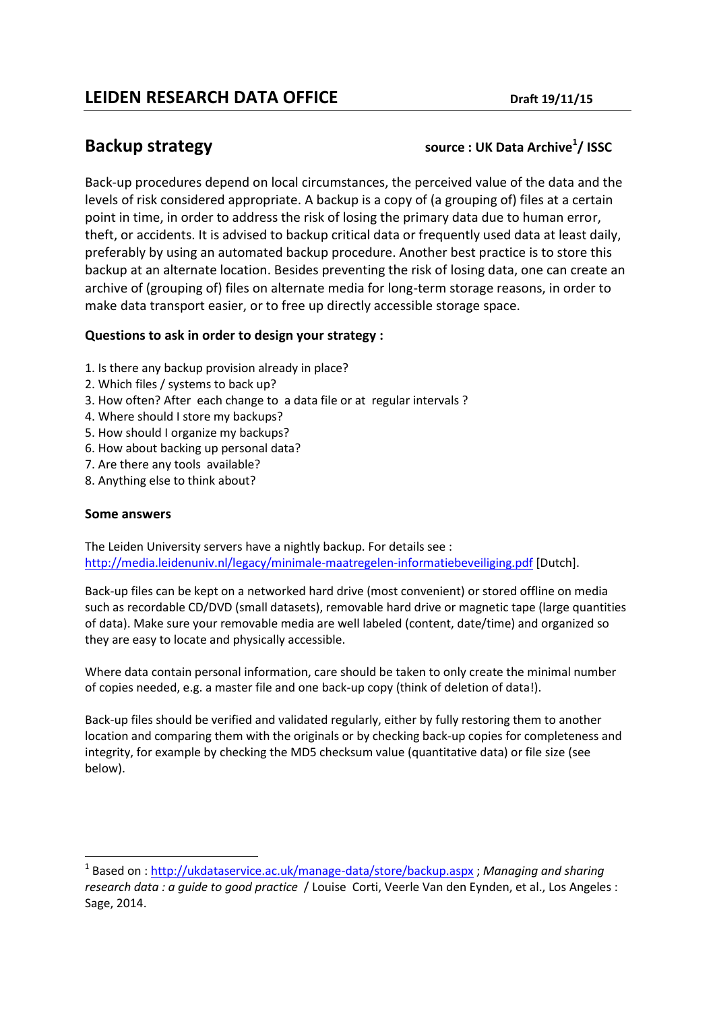# **LEIDEN RESEARCH DATA OFFICE** Draft 19/11/15

## **Backup strategy source : UK Data Archive<sup>1</sup> / ISSC**

Back-up procedures depend on local circumstances, the perceived value of the data and the levels of risk considered appropriate. A backup is a copy of (a grouping of) files at a certain point in time, in order to address the risk of losing the primary data due to human error, theft, or accidents. It is advised to backup critical data or frequently used data at least daily, preferably by using an automated backup procedure. Another best practice is to store this backup at an alternate location. Besides preventing the risk of losing data, one can create an archive of (grouping of) files on alternate media for long-term storage reasons, in order to make data transport easier, or to free up directly accessible storage space.

### **Questions to ask in order to design your strategy :**

- 1. Is there any backup provision already in place?
- 2. Which files / systems to back up?
- 3. How often? After each change to a data file or at regular intervals ?
- 4. Where should I store my backups?
- 5. How should I organize my backups?
- 6. How about backing up personal data?
- 7. Are there any tools available?
- 8. Anything else to think about?

### **Some answers**

1

The Leiden University servers have a nightly backup. For details see : <http://media.leidenuniv.nl/legacy/minimale-maatregelen-informatiebeveiliging.pdf> [Dutch].

Back-up files can be kept on a networked hard drive (most convenient) or stored offline on media such as recordable CD/DVD (small datasets), removable hard drive or magnetic tape (large quantities of data). Make sure your removable media are well labeled (content, date/time) and organized so they are easy to locate and physically accessible.

Where data contain personal information, care should be taken to only create the minimal number of copies needed, e.g. a master file and one back-up copy (think of deletion of data!).

Back-up files should be verified and validated regularly, either by fully restoring them to another location and comparing them with the originals or by checking back-up copies for completeness and integrity, for example by checking the MD5 checksum value (quantitative data) or file size (see below).

<sup>1</sup> Based on : <http://ukdataservice.ac.uk/manage-data/store/backup.aspx> ; *Managing and sharing research data : a guide to good practice* / Louise Corti, Veerle Van den Eynden, et al., Los Angeles : Sage, 2014.